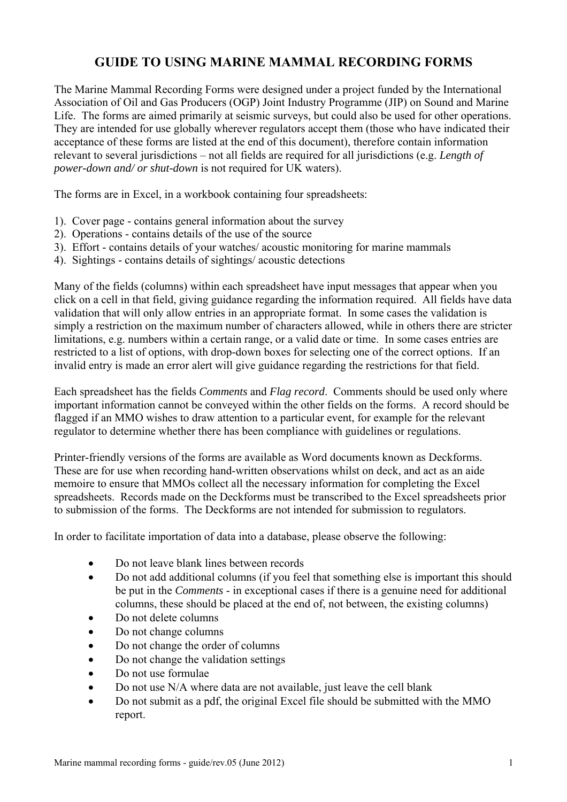# **GUIDE TO USING MARINE MAMMAL RECORDING FORMS**

The Marine Mammal Recording Forms were designed under a project funded by the International Association of Oil and Gas Producers (OGP) Joint Industry Programme (JIP) on Sound and Marine Life. The forms are aimed primarily at seismic surveys, but could also be used for other operations. They are intended for use globally wherever regulators accept them (those who have indicated their acceptance of these forms are listed at the end of this document), therefore contain information relevant to several jurisdictions – not all fields are required for all jurisdictions (e.g. *Length of power-down and/ or shut-down* is not required for UK waters).

The forms are in Excel, in a workbook containing four spreadsheets:

- 1). Cover page contains general information about the survey
- 2). Operations contains details of the use of the source
- 3). Effort contains details of your watches/ acoustic monitoring for marine mammals
- 4). Sightings contains details of sightings/ acoustic detections

Many of the fields (columns) within each spreadsheet have input messages that appear when you click on a cell in that field, giving guidance regarding the information required. All fields have data validation that will only allow entries in an appropriate format. In some cases the validation is simply a restriction on the maximum number of characters allowed, while in others there are stricter limitations, e.g. numbers within a certain range, or a valid date or time. In some cases entries are restricted to a list of options, with drop-down boxes for selecting one of the correct options. If an invalid entry is made an error alert will give guidance regarding the restrictions for that field.

Each spreadsheet has the fields *Comments* and *Flag record*. Comments should be used only where important information cannot be conveyed within the other fields on the forms. A record should be flagged if an MMO wishes to draw attention to a particular event, for example for the relevant regulator to determine whether there has been compliance with guidelines or regulations.

Printer-friendly versions of the forms are available as Word documents known as Deckforms. These are for use when recording hand-written observations whilst on deck, and act as an aide memoire to ensure that MMOs collect all the necessary information for completing the Excel spreadsheets. Records made on the Deckforms must be transcribed to the Excel spreadsheets prior to submission of the forms. The Deckforms are not intended for submission to regulators.

In order to facilitate importation of data into a database, please observe the following:

- Do not leave blank lines between records
- Do not add additional columns (if you feel that something else is important this should be put in the *Comments* - in exceptional cases if there is a genuine need for additional columns, these should be placed at the end of, not between, the existing columns)
- Do not delete columns
- Do not change columns
- Do not change the order of columns
- Do not change the validation settings
- Do not use formulae
- Do not use N/A where data are not available, just leave the cell blank
- Do not submit as a pdf, the original Excel file should be submitted with the MMO report.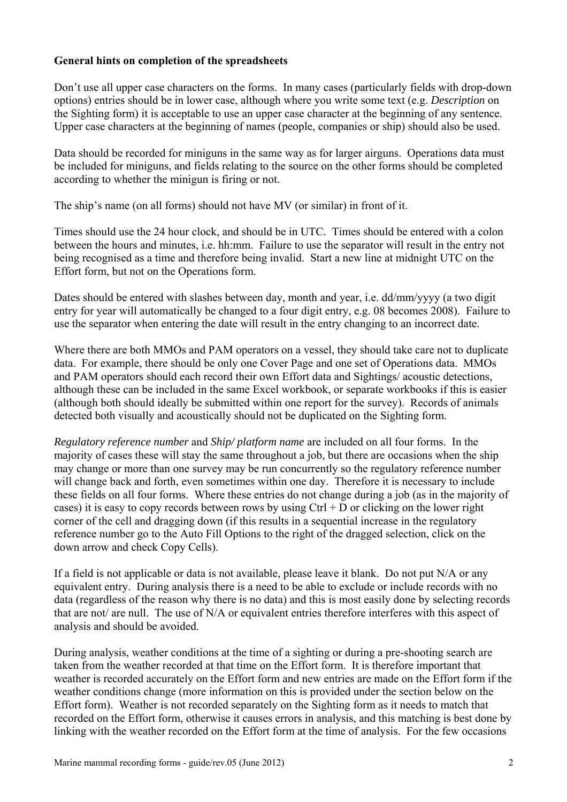### **General hints on completion of the spreadsheets**

Don't use all upper case characters on the forms. In many cases (particularly fields with drop-down options) entries should be in lower case, although where you write some text (e.g. *Description* on the Sighting form) it is acceptable to use an upper case character at the beginning of any sentence. Upper case characters at the beginning of names (people, companies or ship) should also be used.

Data should be recorded for miniguns in the same way as for larger airguns. Operations data must be included for miniguns, and fields relating to the source on the other forms should be completed according to whether the minigun is firing or not.

The ship's name (on all forms) should not have MV (or similar) in front of it.

Times should use the 24 hour clock, and should be in UTC. Times should be entered with a colon between the hours and minutes, i.e. hh:mm. Failure to use the separator will result in the entry not being recognised as a time and therefore being invalid. Start a new line at midnight UTC on the Effort form, but not on the Operations form.

Dates should be entered with slashes between day, month and year, i.e. dd/mm/yyyy (a two digit entry for year will automatically be changed to a four digit entry, e.g. 08 becomes 2008). Failure to use the separator when entering the date will result in the entry changing to an incorrect date.

Where there are both MMOs and PAM operators on a vessel, they should take care not to duplicate data. For example, there should be only one Cover Page and one set of Operations data. MMOs and PAM operators should each record their own Effort data and Sightings/ acoustic detections, although these can be included in the same Excel workbook, or separate workbooks if this is easier (although both should ideally be submitted within one report for the survey). Records of animals detected both visually and acoustically should not be duplicated on the Sighting form.

*Regulatory reference number* and *Ship/ platform name* are included on all four forms. In the majority of cases these will stay the same throughout a job, but there are occasions when the ship may change or more than one survey may be run concurrently so the regulatory reference number will change back and forth, even sometimes within one day. Therefore it is necessary to include these fields on all four forms. Where these entries do not change during a job (as in the majority of cases) it is easy to copy records between rows by using  $Ctrl + D$  or clicking on the lower right corner of the cell and dragging down (if this results in a sequential increase in the regulatory reference number go to the Auto Fill Options to the right of the dragged selection, click on the down arrow and check Copy Cells).

If a field is not applicable or data is not available, please leave it blank. Do not put N/A or any equivalent entry. During analysis there is a need to be able to exclude or include records with no data (regardless of the reason why there is no data) and this is most easily done by selecting records that are not/ are null. The use of N/A or equivalent entries therefore interferes with this aspect of analysis and should be avoided.

During analysis, weather conditions at the time of a sighting or during a pre-shooting search are taken from the weather recorded at that time on the Effort form. It is therefore important that weather is recorded accurately on the Effort form and new entries are made on the Effort form if the weather conditions change (more information on this is provided under the section below on the Effort form). Weather is not recorded separately on the Sighting form as it needs to match that recorded on the Effort form, otherwise it causes errors in analysis, and this matching is best done by linking with the weather recorded on the Effort form at the time of analysis. For the few occasions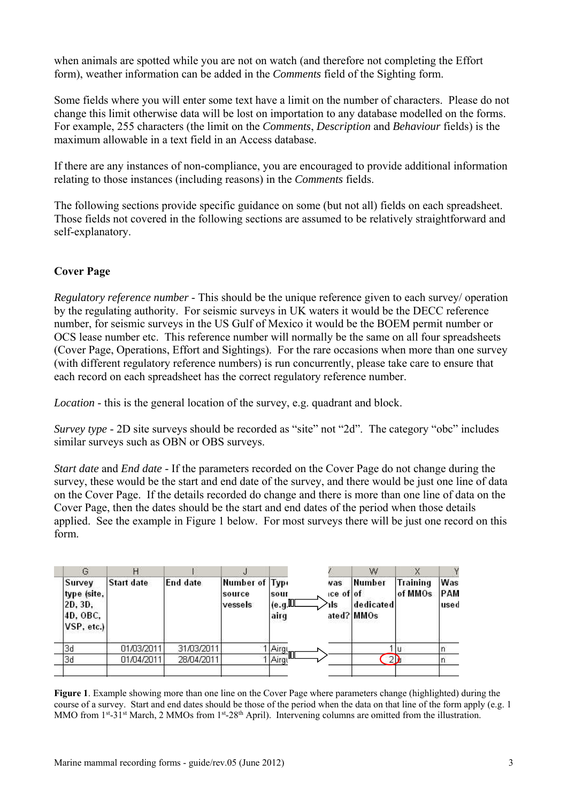when animals are spotted while you are not on watch (and therefore not completing the Effort form), weather information can be added in the *Comments* field of the Sighting form.

Some fields where you will enter some text have a limit on the number of characters. Please do not change this limit otherwise data will be lost on importation to any database modelled on the forms. For example, 255 characters (the limit on the *Comments*, *Description* and *Behaviour* fields) is the maximum allowable in a text field in an Access database.

If there are any instances of non-compliance, you are encouraged to provide additional information relating to those instances (including reasons) in the *Comments* fields.

The following sections provide specific guidance on some (but not all) fields on each spreadsheet. Those fields not covered in the following sections are assumed to be relatively straightforward and self-explanatory.

# **Cover Page**

*Regulatory reference number* - This should be the unique reference given to each survey/ operation by the regulating authority. For seismic surveys in UK waters it would be the DECC reference number, for seismic surveys in the US Gulf of Mexico it would be the BOEM permit number or OCS lease number etc. This reference number will normally be the same on all four spreadsheets (Cover Page, Operations, Effort and Sightings). For the rare occasions when more than one survey (with different regulatory reference numbers) is run concurrently, please take care to ensure that each record on each spreadsheet has the correct regulatory reference number.

*Location* - this is the general location of the survey, e.g. quadrant and block.

*Survey type* - 2D site surveys should be recorded as "site" not "2d". The category "obc" includes similar surveys such as OBN or OBS surveys.

*Start date* and *End date* - If the parameters recorded on the Cover Page do not change during the survey, these would be the start and end date of the survey, and there would be just one line of data on the Cover Page. If the details recorded do change and there is more than one line of data on the Cover Page, then the dates should be the start and end dates of the period when those details applied. See the example in Figure 1 below. For most surveys there will be just one record on this form.

|                                                            |            |            |                                     |                           |                                    | W                                 |                            |                    |
|------------------------------------------------------------|------------|------------|-------------------------------------|---------------------------|------------------------------------|-----------------------------------|----------------------------|--------------------|
| Survey<br>type (site,<br>2D, 3D,<br>4D. OBC.<br>VSP, etc.) | Start date | End date   | Number of Type<br>source<br>vessels | sour<br>⊥(e.g,III<br>airq | vas<br>⊧ce of∣of<br>1 <sub>s</sub> | Number<br>dedicated<br>ated? MMOs | <b>Training</b><br>of MMOs | Was<br>PAM<br>usec |
| 3d                                                         | 01/03/2011 | 31/03/2011 |                                     | $^{4}$   Airgi            |                                    |                                   |                            |                    |
| 3q                                                         | 01/04/2011 | 28/04/2011 |                                     | Airgt                     |                                    |                                   |                            |                    |
|                                                            |            |            |                                     |                           |                                    |                                   |                            |                    |

**Figure 1**. Example showing more than one line on the Cover Page where parameters change (highlighted) during the course of a survey. Start and end dates should be those of the period when the data on that line of the form apply (e.g. 1 MMO from 1st-31st March, 2 MMOs from 1st-28th April). Intervening columns are omitted from the illustration.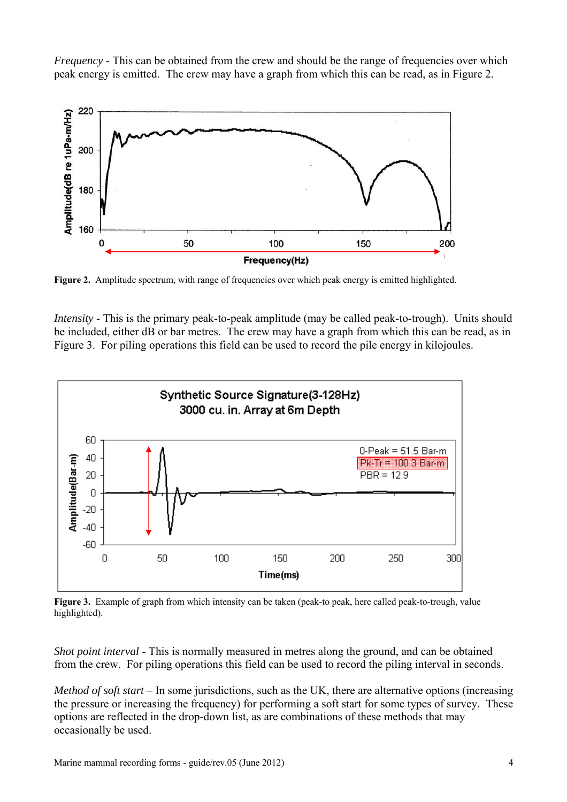*Frequency* - This can be obtained from the crew and should be the range of frequencies over which peak energy is emitted. The crew may have a graph from which this can be read, as in Figure 2.



**Figure 2.** Amplitude spectrum, with range of frequencies over which peak energy is emitted highlighted.

*Intensity* - This is the primary peak-to-peak amplitude (may be called peak-to-trough). Units should be included, either dB or bar metres. The crew may have a graph from which this can be read, as in Figure 3. For piling operations this field can be used to record the pile energy in kilojoules.



**Figure 3.** Example of graph from which intensity can be taken (peak-to peak, here called peak-to-trough, value highlighted).

*Shot point interval* - This is normally measured in metres along the ground, and can be obtained from the crew. For piling operations this field can be used to record the piling interval in seconds.

*Method of soft start* – In some jurisdictions, such as the UK, there are alternative options (increasing the pressure or increasing the frequency) for performing a soft start for some types of survey. These options are reflected in the drop-down list, as are combinations of these methods that may occasionally be used.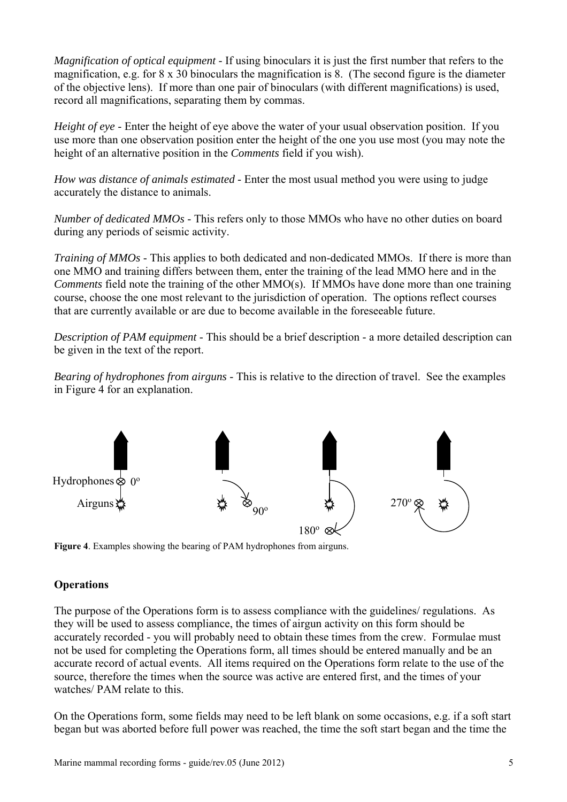*Magnification of optical equipment* - If using binoculars it is just the first number that refers to the magnification, e.g. for 8 x 30 binoculars the magnification is 8. (The second figure is the diameter of the objective lens). If more than one pair of binoculars (with different magnifications) is used, record all magnifications, separating them by commas.

*Height of eye* - Enter the height of eye above the water of your usual observation position. If you use more than one observation position enter the height of the one you use most (you may note the height of an alternative position in the *Comments* field if you wish).

*How was distance of animals estimated* - Enter the most usual method you were using to judge accurately the distance to animals.

*Number of dedicated MMOs* - This refers only to those MMOs who have no other duties on board during any periods of seismic activity.

*Training of MMOs* - This applies to both dedicated and non-dedicated MMOs. If there is more than one MMO and training differs between them, enter the training of the lead MMO here and in the *Comments* field note the training of the other MMO(s). If MMOs have done more than one training course, choose the one most relevant to the jurisdiction of operation. The options reflect courses that are currently available or are due to become available in the foreseeable future.

*Description of PAM equipment* - This should be a brief description - a more detailed description can be given in the text of the report.

*Bearing of hydrophones from airguns* - This is relative to the direction of travel. See the examples in Figure 4 for an explanation.



**Figure 4**. Examples showing the bearing of PAM hydrophones from airguns.

## **Operations**

The purpose of the Operations form is to assess compliance with the guidelines/ regulations. As they will be used to assess compliance, the times of airgun activity on this form should be accurately recorded - you will probably need to obtain these times from the crew. Formulae must not be used for completing the Operations form, all times should be entered manually and be an accurate record of actual events. All items required on the Operations form relate to the use of the source, therefore the times when the source was active are entered first, and the times of your watches/ PAM relate to this.

On the Operations form, some fields may need to be left blank on some occasions, e.g. if a soft start began but was aborted before full power was reached, the time the soft start began and the time the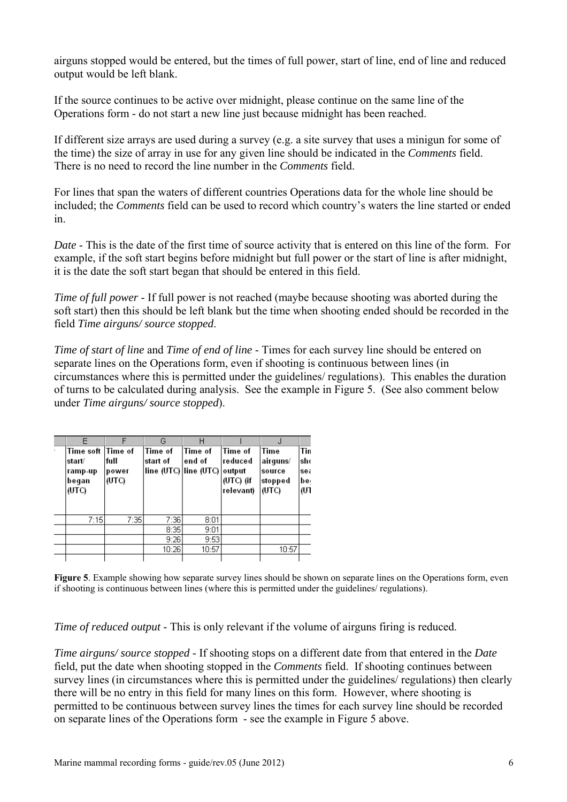airguns stopped would be entered, but the times of full power, start of line, end of line and reduced output would be left blank.

If the source continues to be active over midnight, please continue on the same line of the Operations form - do not start a new line just because midnight has been reached.

If different size arrays are used during a survey (e.g. a site survey that uses a minigun for some of the time) the size of array in use for any given line should be indicated in the *Comments* field. There is no need to record the line number in the *Comments* field.

For lines that span the waters of different countries Operations data for the whole line should be included; the *Comments* field can be used to record which country's waters the line started or ended in.

*Date* - This is the date of the first time of source activity that is entered on this line of the form. For example, if the soft start begins before midnight but full power or the start of line is after midnight, it is the date the soft start began that should be entered in this field.

*Time of full power* - If full power is not reached (maybe because shooting was aborted during the soft start) then this should be left blank but the time when shooting ended should be recorded in the field *Time airguns/ source stopped*.

*Time of start of line* and *Time of end of line* - Times for each survey line should be entered on separate lines on the Operations form, even if shooting is continuous between lines (in circumstances where this is permitted under the guidelines/ regulations). This enables the duration of turns to be calculated during analysis. See the example in Figure 5. (See also comment below under *Time airguns/ source stopped*).

| E<br>Time soft  Time of<br>start/<br>ramp-up<br>began<br>(UTC) | F<br>full<br>power<br>(UTC) | G<br>Time of<br>start of | Н<br>lTime of<br>end of<br>line (UTC) line (UTC) | Time of<br>reduced<br>output<br>$(UTC)$ (if<br>relevant) | Time<br>airguns/<br>source<br>stopped<br>(UTC) | Tin<br>sho<br>sea<br>be.<br>רש) |
|----------------------------------------------------------------|-----------------------------|--------------------------|--------------------------------------------------|----------------------------------------------------------|------------------------------------------------|---------------------------------|
| 7:15                                                           | 7:35                        | 7:36                     | 8:01                                             |                                                          |                                                |                                 |
|                                                                |                             | 8:35                     | 9:01                                             |                                                          |                                                |                                 |
|                                                                |                             | 9:26                     | 9:53                                             |                                                          |                                                |                                 |
|                                                                |                             | 10:26                    | 10:57                                            |                                                          | 10:57                                          |                                 |
|                                                                |                             |                          |                                                  |                                                          |                                                |                                 |

**Figure 5**. Example showing how separate survey lines should be shown on separate lines on the Operations form, even if shooting is continuous between lines (where this is permitted under the guidelines/ regulations).

*Time of reduced output* - This is only relevant if the volume of airguns firing is reduced.

*Time airguns/ source stopped* - If shooting stops on a different date from that entered in the *Date* field, put the date when shooting stopped in the *Comments* field. If shooting continues between survey lines (in circumstances where this is permitted under the guidelines/ regulations) then clearly there will be no entry in this field for many lines on this form. However, where shooting is permitted to be continuous between survey lines the times for each survey line should be recorded on separate lines of the Operations form - see the example in Figure 5 above.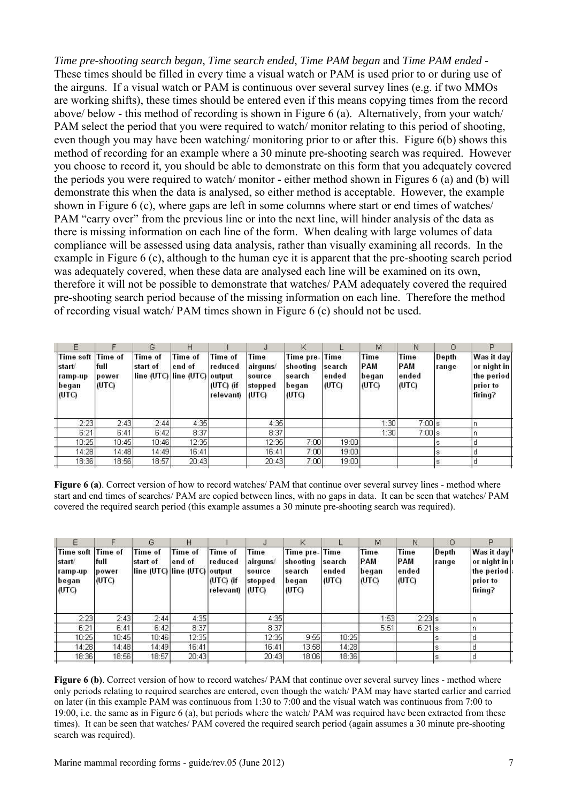*Time pre-shooting search began*, *Time search ended*, *Time PAM began* and *Time PAM ended* - These times should be filled in every time a visual watch or PAM is used prior to or during use of the airguns. If a visual watch or PAM is continuous over several survey lines (e.g. if two MMOs are working shifts), these times should be entered even if this means copying times from the record above/ below - this method of recording is shown in Figure 6 (a). Alternatively, from your watch/ PAM select the period that you were required to watch/ monitor relating to this period of shooting, even though you may have been watching/ monitoring prior to or after this. Figure 6(b) shows this method of recording for an example where a 30 minute pre-shooting search was required. However you choose to record it, you should be able to demonstrate on this form that you adequately covered the periods you were required to watch/ monitor - either method shown in Figures 6 (a) and (b) will demonstrate this when the data is analysed, so either method is acceptable. However, the example shown in Figure 6 (c), where gaps are left in some columns where start or end times of watches/ PAM "carry over" from the previous line or into the next line, will hinder analysis of the data as there is missing information on each line of the form. When dealing with large volumes of data compliance will be assessed using data analysis, rather than visually examining all records. In the example in Figure 6 (c), although to the human eye it is apparent that the pre-shooting search period was adequately covered, when these data are analysed each line will be examined on its own, therefore it will not be possible to demonstrate that watches/ PAM adequately covered the required pre-shooting search period because of the missing information on each line. Therefore the method of recording visual watch/ PAM times shown in Figure 6 (c) should not be used.

| Е                                                        |                        | G                   | Н                                                        |                                                |                                                | κ                                                     |                          | M                             | Ν                             | Ο              | P                                                              |
|----------------------------------------------------------|------------------------|---------------------|----------------------------------------------------------|------------------------------------------------|------------------------------------------------|-------------------------------------------------------|--------------------------|-------------------------------|-------------------------------|----------------|----------------------------------------------------------------|
| Time soft Time of<br>start/<br>ramp-up<br>began<br>(UTC) | full<br>power<br>(UTC) | Time of<br>start of | <b>Time of</b><br>end of<br>line (UTC) line (UTC) output | Time of<br>reduced<br>$(UTC)$ (if<br>relevant) | Time<br>airguns/<br>source<br>stopped<br>(UTC) | Time pre-Time<br>shooting<br>search<br>began<br>(UTC) | search<br>ended<br>(UTC) | Time<br>PAM<br>began<br>(UTC) | Time<br>PAM<br>ended<br>(UTC) | Depth<br>range | Was it day<br>or night in<br>the period<br>prior to<br>firing? |
| 2:23                                                     | 2:43                   | 2:44                | 4:35                                                     |                                                | 4:35                                           |                                                       |                          | 1:30                          | $7:00$ s                      |                |                                                                |
| 6:21                                                     | 6:41                   | 6:42                | 8:37                                                     |                                                | 8:37                                           |                                                       |                          | 1:30                          | $7:00$ s                      |                |                                                                |
| 10:25                                                    | 10:45                  | 10:46               | 12:35                                                    |                                                | 12:35                                          | 7:00                                                  | 19:00                    |                               |                               | s              |                                                                |
| 14:28                                                    | 14:48                  | 14:49               | 16:41                                                    |                                                | 16:41                                          | 7:00                                                  | 19:00                    |                               |                               | s              |                                                                |
| 18:36                                                    | 18:56                  | 18:57               | 20:43                                                    |                                                | 20:43                                          | 7:00                                                  | 19:00                    |                               |                               | s              |                                                                |
|                                                          |                        |                     |                                                          |                                                |                                                |                                                       |                          |                               |                               |                |                                                                |

**Figure 6 (a)**. Correct version of how to record watches/ PAM that continue over several survey lines - method where start and end times of searches/ PAM are copied between lines, with no gaps in data. It can be seen that watches/ PAM covered the required search period (this example assumes a 30 minute pre-shooting search was required).

| F                                                       |                        | G                          |                                                          |                                                       |                                                 | Κ                                                     |                          | М                                    | N                                    |                 | P                                                              |
|---------------------------------------------------------|------------------------|----------------------------|----------------------------------------------------------|-------------------------------------------------------|-------------------------------------------------|-------------------------------------------------------|--------------------------|--------------------------------------|--------------------------------------|-----------------|----------------------------------------------------------------|
| Time soft Time of<br>start<br>ramp-up<br>began<br>(UTC) | full<br>power<br>(UTC) | <b>Time of</b><br>start of | <b>Time of</b><br>end of<br>line (UTC) line (UTC) output | <b>Time of</b><br>reduced<br>$(UTC)$ (if<br>relevant) | Time<br>∣airguns⁄<br>source<br>stopped<br>(UTC) | Time pre-Time<br>shooting<br>search<br>began<br>(UTC) | search<br>ended<br>(UTC) | <b>Time</b><br>PAM<br>began<br>(UTC) | <b>Time</b><br>PAM<br>ended<br>(UTC) | Depth<br>trange | Was it day<br>or night in<br>the period<br>prior to<br>firing? |
| 2:23                                                    | 2:43                   | 2:44                       | 4:35                                                     |                                                       | 4:35                                            |                                                       |                          | 1:53 <sub>1</sub>                    | 2:23 s                               |                 |                                                                |
| 6:21                                                    | 6:41                   | 6:42                       | 8:37                                                     |                                                       | 8:37                                            |                                                       |                          | 5:51                                 | $6:21$ s                             |                 |                                                                |
| 10:25                                                   | 10:45                  | 10:46                      | 12:35                                                    |                                                       | 12:35                                           | 9:55                                                  | 10:25                    |                                      |                                      |                 |                                                                |
| 14:28                                                   | 14:48                  | 14:49                      | 16:41                                                    |                                                       | 16:41                                           | 13:58                                                 | 14:28                    |                                      |                                      | 'S              |                                                                |
| 18:36                                                   | 18:56                  | 18:57                      | 20:43                                                    |                                                       | 20:43                                           | 18:06                                                 | 18:36                    |                                      |                                      |                 |                                                                |
|                                                         |                        |                            |                                                          |                                                       |                                                 |                                                       |                          |                                      |                                      |                 |                                                                |

**Figure 6 (b)**. Correct version of how to record watches/ PAM that continue over several survey lines - method where only periods relating to required searches are entered, even though the watch/ PAM may have started earlier and carried on later (in this example PAM was continuous from 1:30 to 7:00 and the visual watch was continuous from 7:00 to 19:00, i.e. the same as in Figure 6 (a), but periods where the watch/ PAM was required have been extracted from these times). It can be seen that watches/ PAM covered the required search period (again assumes a 30 minute pre-shooting search was required).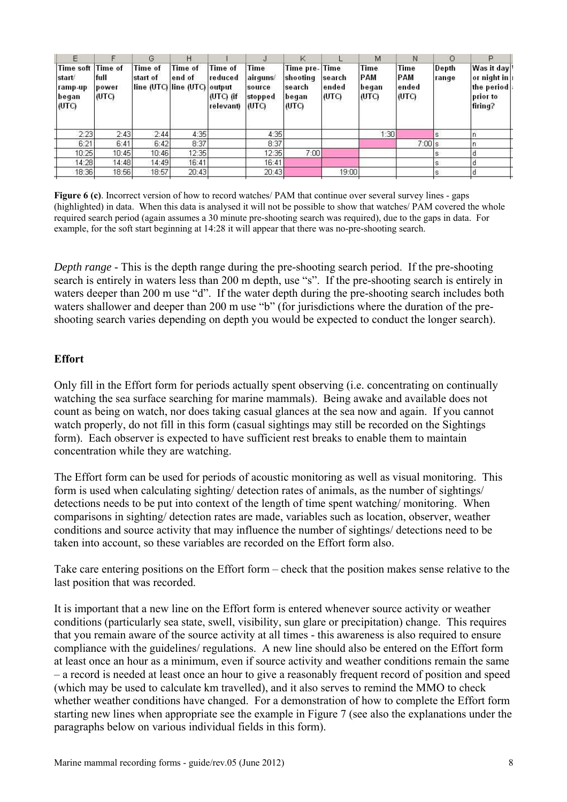| F                                                      |                                   | G.                         | н                                                 |                                                     | J                                              | Κ                                                     |                          | M                                    | N                                    |                | P                                                              |
|--------------------------------------------------------|-----------------------------------|----------------------------|---------------------------------------------------|-----------------------------------------------------|------------------------------------------------|-------------------------------------------------------|--------------------------|--------------------------------------|--------------------------------------|----------------|----------------------------------------------------------------|
| <b>Time soft</b><br>start<br>ramp-up<br>began<br>(UTC) | Time of<br>full<br>power<br>(UTC) | <b>Time of</b><br>start of | Time of<br>end of<br>line (UTC) line (UTC) output | <b>Time of</b><br>reduced<br>(UTC) (if<br>relevant) | Time<br>airguns/<br>source<br>stopped<br>(UTC) | Time pre-Time<br>shooting<br>search<br>began<br>(UTC) | search<br>ended<br>(UTC) | <b>Time</b><br>PAM<br>began<br>(UTC) | <b>Time</b><br>PAM<br>ended<br>(UTC) | Depth<br>range | Was it day<br>or night in<br>the period<br>prior to<br>firing? |
| 2:23                                                   | 2:43                              | 2:44                       | 4:35                                              |                                                     | 4:35                                           |                                                       |                          | 1:30                                 |                                      | S              |                                                                |
| 6:21                                                   | 6:41                              | 6:42                       | 8:37                                              |                                                     | 8:37                                           |                                                       |                          |                                      | $7:00$ s                             |                |                                                                |
| 10:25                                                  | 10:45                             | 10:46                      | 12:35                                             |                                                     | 12:35                                          | 7:00                                                  |                          |                                      |                                      |                |                                                                |
| 14:28                                                  | 14:48                             | 14:49                      | 16:41                                             |                                                     | 16:41                                          |                                                       |                          |                                      |                                      | s.             |                                                                |
| 18:36                                                  | 18:56                             | 18:57                      | 20:43                                             |                                                     | 20:43                                          |                                                       | 19:00                    |                                      |                                      |                |                                                                |
|                                                        |                                   |                            |                                                   |                                                     |                                                |                                                       |                          |                                      |                                      |                |                                                                |

**Figure 6 (c)**. Incorrect version of how to record watches/ PAM that continue over several survey lines - gaps (highlighted) in data. When this data is analysed it will not be possible to show that watches/ PAM covered the whole required search period (again assumes a 30 minute pre-shooting search was required), due to the gaps in data. For example, for the soft start beginning at 14:28 it will appear that there was no-pre-shooting search.

*Depth range* - This is the depth range during the pre-shooting search period. If the pre-shooting search is entirely in waters less than 200 m depth, use "s". If the pre-shooting search is entirely in waters deeper than 200 m use "d". If the water depth during the pre-shooting search includes both waters shallower and deeper than 200 m use "b" (for jurisdictions where the duration of the preshooting search varies depending on depth you would be expected to conduct the longer search).

### **Effort**

Only fill in the Effort form for periods actually spent observing (i.e. concentrating on continually watching the sea surface searching for marine mammals). Being awake and available does not count as being on watch, nor does taking casual glances at the sea now and again. If you cannot watch properly, do not fill in this form (casual sightings may still be recorded on the Sightings form). Each observer is expected to have sufficient rest breaks to enable them to maintain concentration while they are watching.

The Effort form can be used for periods of acoustic monitoring as well as visual monitoring. This form is used when calculating sighting/ detection rates of animals, as the number of sightings/ detections needs to be put into context of the length of time spent watching/ monitoring. When comparisons in sighting/ detection rates are made, variables such as location, observer, weather conditions and source activity that may influence the number of sightings/ detections need to be taken into account, so these variables are recorded on the Effort form also.

Take care entering positions on the Effort form – check that the position makes sense relative to the last position that was recorded.

It is important that a new line on the Effort form is entered whenever source activity or weather conditions (particularly sea state, swell, visibility, sun glare or precipitation) change. This requires that you remain aware of the source activity at all times - this awareness is also required to ensure compliance with the guidelines/ regulations. A new line should also be entered on the Effort form at least once an hour as a minimum, even if source activity and weather conditions remain the same – a record is needed at least once an hour to give a reasonably frequent record of position and speed (which may be used to calculate km travelled), and it also serves to remind the MMO to check whether weather conditions have changed. For a demonstration of how to complete the Effort form starting new lines when appropriate see the example in Figure 7 (see also the explanations under the paragraphs below on various individual fields in this form).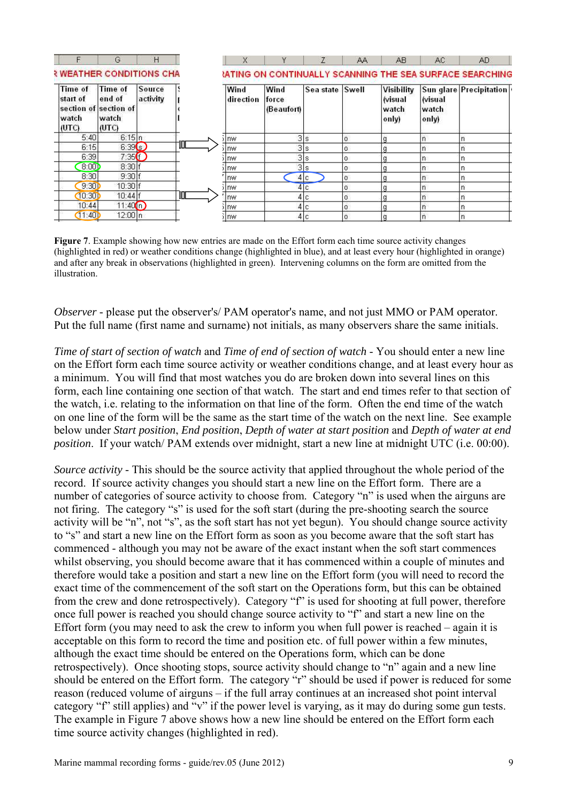|                                                                | G                                          | Н                  |   | X                 |                             |                 | AA | AB.                                                         | AC.                             | AD.                                                             |
|----------------------------------------------------------------|--------------------------------------------|--------------------|---|-------------------|-----------------------------|-----------------|----|-------------------------------------------------------------|---------------------------------|-----------------------------------------------------------------|
| <b>RWEATHER CONDITIONS CHA</b>                                 |                                            |                    |   |                   |                             |                 |    |                                                             |                                 | <b>IATING ON CONTINUALLY SCANNING THE SEA SURFACE SEARCHING</b> |
| Time of<br>start of<br>section of section of<br>watch<br>(UTC) | <b>Time of</b><br>end of<br>watch<br>(UTC) | Source<br>activity |   | Wind<br>direction | Wind<br>force<br>(Beaufort) | Sea state Swell |    | <b>Visibility</b><br><i><b>Nisual</b></i><br>watch<br>only) | <b>Wisual</b><br>watch<br>only) | Sun glare Precipitation                                         |
| 5:40                                                           | 6:15 n                                     |                    |   | Inw               |                             | 3 s             | 0  |                                                             |                                 |                                                                 |
| 6:15                                                           | 6:39(s)                                    |                    | Ш | Inw               |                             | 3s              | o  |                                                             |                                 |                                                                 |
| 6:39                                                           | 7:35(f)                                    |                    |   | nw                |                             | 3s              | n. |                                                             |                                 |                                                                 |
| 8:001                                                          | 8:30                                       |                    |   | nw                |                             | 3s              | 0. |                                                             | In                              |                                                                 |
| 8:30                                                           | 9:30 f                                     |                    |   | nw                |                             | 4 c             | 0  |                                                             | In                              |                                                                 |
| 9:30D                                                          | 10:30                                      |                    |   | Inw               |                             | 4 c             | 0  |                                                             | In                              |                                                                 |
| (10:30)                                                        | 10:44                                      |                    | 吅 | nw                |                             | 4 c             | 0  |                                                             |                                 |                                                                 |
| 10:44                                                          | 11:40(n)                                   |                    |   | nw                |                             | 4 c             | 0  |                                                             | In                              |                                                                 |
| (11:40)                                                        | 12:00 n                                    |                    |   | ilnw              |                             | 4 c             | 0  |                                                             |                                 |                                                                 |

**Figure 7**. Example showing how new entries are made on the Effort form each time source activity changes (highlighted in red) or weather conditions change (highlighted in blue), and at least every hour (highlighted in orange) and after any break in observations (highlighted in green). Intervening columns on the form are omitted from the illustration.

*Observer* - please put the observer's/ PAM operator's name, and not just MMO or PAM operator. Put the full name (first name and surname) not initials, as many observers share the same initials.

*Time of start of section of watch* and *Time of end of section of watch* - You should enter a new line on the Effort form each time source activity or weather conditions change, and at least every hour as a minimum. You will find that most watches you do are broken down into several lines on this form, each line containing one section of that watch. The start and end times refer to that section of the watch, i.e. relating to the information on that line of the form. Often the end time of the watch on one line of the form will be the same as the start time of the watch on the next line. See example below under *Start position*, *End position*, *Depth of water at start position* and *Depth of water at end position*. If your watch/ PAM extends over midnight, start a new line at midnight UTC (i.e. 00:00).

*Source activity* - This should be the source activity that applied throughout the whole period of the record. If source activity changes you should start a new line on the Effort form. There are a number of categories of source activity to choose from. Category "n" is used when the airguns are not firing. The category "s" is used for the soft start (during the pre-shooting search the source activity will be "n", not "s", as the soft start has not yet begun). You should change source activity to "s" and start a new line on the Effort form as soon as you become aware that the soft start has commenced - although you may not be aware of the exact instant when the soft start commences whilst observing, you should become aware that it has commenced within a couple of minutes and therefore would take a position and start a new line on the Effort form (you will need to record the exact time of the commencement of the soft start on the Operations form, but this can be obtained from the crew and done retrospectively). Category "f" is used for shooting at full power, therefore once full power is reached you should change source activity to "f" and start a new line on the Effort form (you may need to ask the crew to inform you when full power is reached – again it is acceptable on this form to record the time and position etc. of full power within a few minutes, although the exact time should be entered on the Operations form, which can be done retrospectively). Once shooting stops, source activity should change to "n" again and a new line should be entered on the Effort form. The category "r" should be used if power is reduced for some reason (reduced volume of airguns – if the full array continues at an increased shot point interval category "f" still applies) and "v" if the power level is varying, as it may do during some gun tests. The example in Figure 7 above shows how a new line should be entered on the Effort form each time source activity changes (highlighted in red).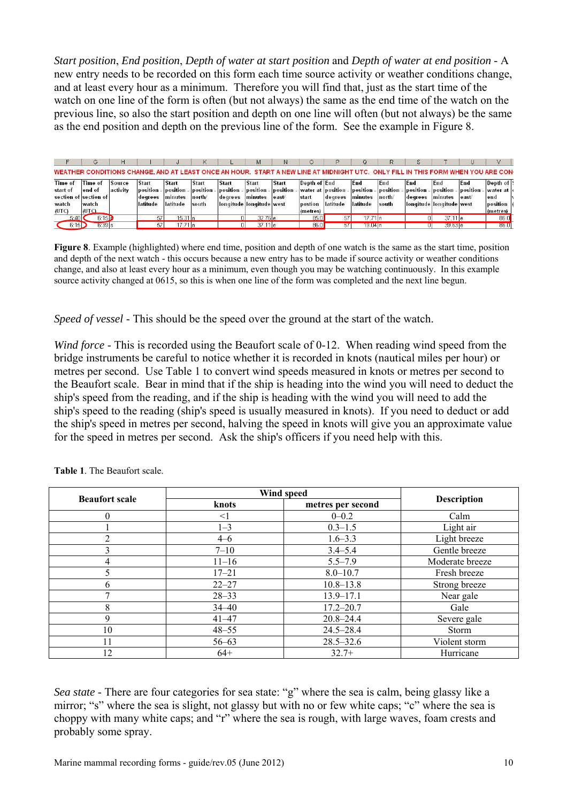*Start position*, *End position*, *Depth of water at start position* and *Depth of water at end position* - A new entry needs to be recorded on this form each time source activity or weather conditions change, and at least every hour as a minimum. Therefore you will find that, just as the start time of the watch on one line of the form is often (but not always) the same as the end time of the watch on the previous line, so also the start position and depth on one line will often (but not always) be the same as the end position and depth on the previous line of the form. See the example in Figure 8.

|          |                       |          |              |                   |              |                          | M                  |          |              |                    |          |                                                                                                                                 |         |                          |          | v           |  |
|----------|-----------------------|----------|--------------|-------------------|--------------|--------------------------|--------------------|----------|--------------|--------------------|----------|---------------------------------------------------------------------------------------------------------------------------------|---------|--------------------------|----------|-------------|--|
|          |                       |          |              |                   |              |                          |                    |          |              |                    |          | WEATHER CONDITIONS CHANGE, AND AT LEAST ONCE AN HOUR. START A NEW LINE AT MIDNIGHT UTC. ONLY FILL IN THIS FORM WHEN YOU ARE CON |         |                          |          |             |  |
| Time of  | Time of               | Source   | <b>Start</b> | Start             | <b>Start</b> | <b>Start</b>             | <b>Start</b>       | Start    | Depth of End |                    | End      | End                                                                                                                             | End     | End                      | End      | Depth of !! |  |
| start of | end of                | activity | position -   | position          | position     | position -               | position           | position |              | water at position. | position | position - position                                                                                                             |         | position                 | position | water at    |  |
|          | section of section of |          | degrees      | minutes           | north/       | degrees                  | minutes            | le ast/  | start        | degrees            | Iminutes | north/                                                                                                                          | degrees | minutes                  | e ast    | end         |  |
| watch    | watch                 |          | latitude     | latitude          | south        | longitude longitude west |                    |          | postion      | latitude           | latitude | south                                                                                                                           |         | longitude longitude west |          | position    |  |
| (UTC)    | IUTO.                 |          |              |                   |              |                          |                    |          | (metres)     |                    |          |                                                                                                                                 |         |                          |          | (metres)    |  |
| 5:40I    | 6:1510                |          | 57           | $15.31 \text{ h}$ |              |                          | 32.76 <sub>e</sub> |          | 85.0         |                    | 17.71 r  |                                                                                                                                 |         | 37.7                     |          | 86.0        |  |
| 6:15     | $6.39$ s              |          |              | 17.71 n           |              |                          | 37.11 le           |          | 86.0         |                    | 19.04 In |                                                                                                                                 |         | 39.63 e                  |          | 86.0        |  |

**Figure 8**. Example (highlighted) where end time, position and depth of one watch is the same as the start time, position and depth of the next watch - this occurs because a new entry has to be made if source activity or weather conditions change, and also at least every hour as a minimum, even though you may be watching continuously. In this example source activity changed at 0615, so this is when one line of the form was completed and the next line begun.

*Speed of vessel* - This should be the speed over the ground at the start of the watch.

*Wind force* - This is recorded using the Beaufort scale of 0-12. When reading wind speed from the bridge instruments be careful to notice whether it is recorded in knots (nautical miles per hour) or metres per second. Use Table 1 to convert wind speeds measured in knots or metres per second to the Beaufort scale. Bear in mind that if the ship is heading into the wind you will need to deduct the ship's speed from the reading, and if the ship is heading with the wind you will need to add the ship's speed to the reading (ship's speed is usually measured in knots). If you need to deduct or add the ship's speed in metres per second, halving the speed in knots will give you an approximate value for the speed in metres per second. Ask the ship's officers if you need help with this.

|                       |           | Wind speed        |                    |  |  |  |  |  |
|-----------------------|-----------|-------------------|--------------------|--|--|--|--|--|
| <b>Beaufort scale</b> | knots     | metres per second | <b>Description</b> |  |  |  |  |  |
|                       | $<$ 1     | $0 - 0.2$         | Calm               |  |  |  |  |  |
|                       | $1 - 3$   | $0.3 - 1.5$       | Light air          |  |  |  |  |  |
|                       | $4 - 6$   | $1.6 - 3.3$       | Light breeze       |  |  |  |  |  |
|                       | $7 - 10$  | $3.4 - 5.4$       | Gentle breeze      |  |  |  |  |  |
| 4                     | $11 - 16$ | $5.5 - 7.9$       | Moderate breeze    |  |  |  |  |  |
|                       | $17 - 21$ | $8.0 - 10.7$      | Fresh breeze       |  |  |  |  |  |
| h                     | $22 - 27$ | $10.8 - 13.8$     | Strong breeze      |  |  |  |  |  |
|                       | $28 - 33$ | $13.9 - 17.1$     | Near gale          |  |  |  |  |  |
| 8                     | $34 - 40$ | $17.2 - 20.7$     | Gale               |  |  |  |  |  |
| 9                     | $41 - 47$ | $20.8 - 24.4$     | Severe gale        |  |  |  |  |  |
| 10                    | $48 - 55$ | $24.5 - 28.4$     | Storm              |  |  |  |  |  |
|                       | $56 - 63$ | $28.5 - 32.6$     | Violent storm      |  |  |  |  |  |
| 12                    | $64+$     | $32.7+$           | Hurricane          |  |  |  |  |  |

| <b>Table 1.</b> The Beaufort scale. |  |
|-------------------------------------|--|
|-------------------------------------|--|

*Sea state* - There are four categories for sea state: "g" where the sea is calm, being glassy like a mirror; "s" where the sea is slight, not glassy but with no or few white caps; "c" where the sea is choppy with many white caps; and "r" where the sea is rough, with large waves, foam crests and probably some spray.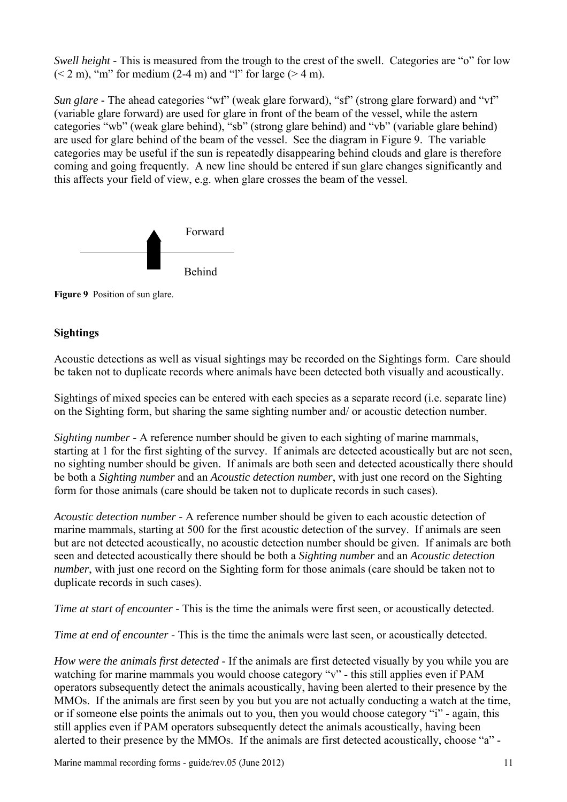*Swell height* - This is measured from the trough to the crest of the swell. Categories are "o" for low  $(< 2 m)$ , "m" for medium (2-4 m) and "l" for large ( $> 4 m$ ).

*Sun glare* - The ahead categories "wf" (weak glare forward), "sf" (strong glare forward) and "vf" (variable glare forward) are used for glare in front of the beam of the vessel, while the astern categories "wb" (weak glare behind), "sb" (strong glare behind) and "vb" (variable glare behind) are used for glare behind of the beam of the vessel. See the diagram in Figure 9. The variable categories may be useful if the sun is repeatedly disappearing behind clouds and glare is therefore coming and going frequently. A new line should be entered if sun glare changes significantly and this affects your field of view, e.g. when glare crosses the beam of the vessel.



**Figure 9** Position of sun glare.

# **Sightings**

Acoustic detections as well as visual sightings may be recorded on the Sightings form. Care should be taken not to duplicate records where animals have been detected both visually and acoustically.

Sightings of mixed species can be entered with each species as a separate record (i.e. separate line) on the Sighting form, but sharing the same sighting number and/ or acoustic detection number.

*Sighting number* - A reference number should be given to each sighting of marine mammals, starting at 1 for the first sighting of the survey. If animals are detected acoustically but are not seen, no sighting number should be given. If animals are both seen and detected acoustically there should be both a *Sighting number* and an *Acoustic detection number*, with just one record on the Sighting form for those animals (care should be taken not to duplicate records in such cases).

*Acoustic detection number* - A reference number should be given to each acoustic detection of marine mammals, starting at 500 for the first acoustic detection of the survey. If animals are seen but are not detected acoustically, no acoustic detection number should be given. If animals are both seen and detected acoustically there should be both a *Sighting number* and an *Acoustic detection number*, with just one record on the Sighting form for those animals (care should be taken not to duplicate records in such cases).

*Time at start of encounter* - This is the time the animals were first seen, or acoustically detected.

*Time at end of encounter* - This is the time the animals were last seen, or acoustically detected.

*How were the animals first detected* - If the animals are first detected visually by you while you are watching for marine mammals you would choose category "v" - this still applies even if PAM operators subsequently detect the animals acoustically, having been alerted to their presence by the MMOs. If the animals are first seen by you but you are not actually conducting a watch at the time, or if someone else points the animals out to you, then you would choose category "i" - again, this still applies even if PAM operators subsequently detect the animals acoustically, having been alerted to their presence by the MMOs. If the animals are first detected acoustically, choose "a" -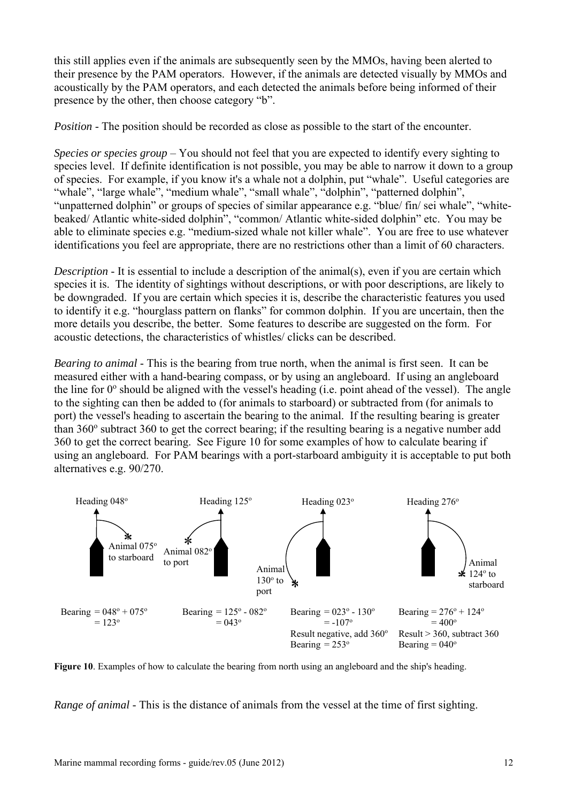this still applies even if the animals are subsequently seen by the MMOs, having been alerted to their presence by the PAM operators. However, if the animals are detected visually by MMOs and acoustically by the PAM operators, and each detected the animals before being informed of their presence by the other, then choose category "b".

*Position* - The position should be recorded as close as possible to the start of the encounter.

*Species or species group* – You should not feel that you are expected to identify every sighting to species level. If definite identification is not possible, you may be able to narrow it down to a group of species. For example, if you know it's a whale not a dolphin, put "whale". Useful categories are "whale", "large whale", "medium whale", "small whale", "dolphin", "patterned dolphin", "unpatterned dolphin" or groups of species of similar appearance e.g. "blue/ fin/ sei whale", "whitebeaked/ Atlantic white-sided dolphin", "common/ Atlantic white-sided dolphin" etc. You may be able to eliminate species e.g. "medium-sized whale not killer whale". You are free to use whatever identifications you feel are appropriate, there are no restrictions other than a limit of 60 characters.

*Description* - It is essential to include a description of the animal(s), even if you are certain which species it is. The identity of sightings without descriptions, or with poor descriptions, are likely to be downgraded. If you are certain which species it is, describe the characteristic features you used to identify it e.g. "hourglass pattern on flanks" for common dolphin. If you are uncertain, then the more details you describe, the better. Some features to describe are suggested on the form. For acoustic detections, the characteristics of whistles/ clicks can be described.

*Bearing to animal* - This is the bearing from true north, when the animal is first seen. It can be measured either with a hand-bearing compass, or by using an angleboard. If using an angleboard the line for  $0^{\circ}$  should be aligned with the vessel's heading (i.e. point ahead of the vessel). The angle to the sighting can then be added to (for animals to starboard) or subtracted from (for animals to port) the vessel's heading to ascertain the bearing to the animal. If the resulting bearing is greater than 360° subtract 360 to get the correct bearing; if the resulting bearing is a negative number add 360 to get the correct bearing. See Figure 10 for some examples of how to calculate bearing if using an angleboard. For PAM bearings with a port-starboard ambiguity it is acceptable to put both alternatives e.g. 90/270.



**Figure 10**. Examples of how to calculate the bearing from north using an angleboard and the ship's heading.

*Range of animal* - This is the distance of animals from the vessel at the time of first sighting.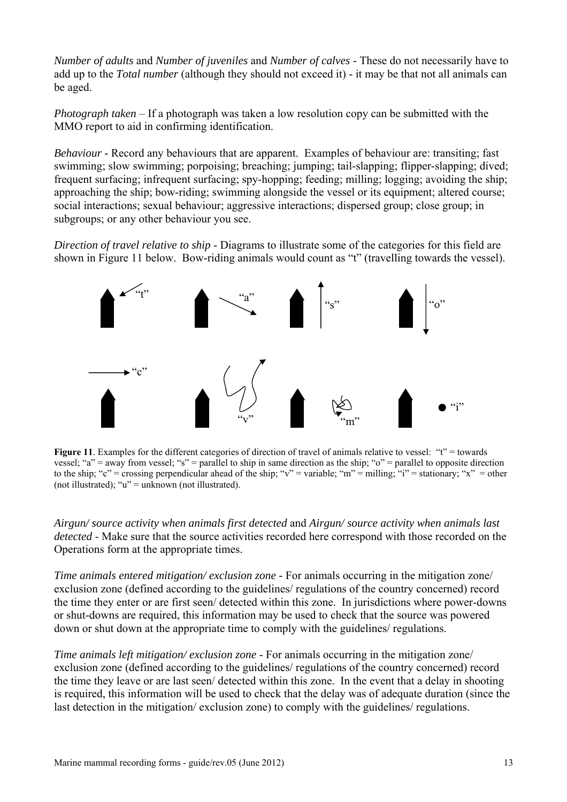*Number of adults* and *Number of juveniles* and *Number of calves* - These do not necessarily have to add up to the *Total number* (although they should not exceed it) - it may be that not all animals can be aged.

*Photograph taken* – If a photograph was taken a low resolution copy can be submitted with the MMO report to aid in confirming identification.

*Behaviour* - Record any behaviours that are apparent. Examples of behaviour are: transiting; fast swimming; slow swimming; porpoising; breaching; jumping; tail-slapping; flipper-slapping; dived; frequent surfacing; infrequent surfacing; spy-hopping; feeding; milling; logging; avoiding the ship; approaching the ship; bow-riding; swimming alongside the vessel or its equipment; altered course; social interactions; sexual behaviour; aggressive interactions; dispersed group; close group; in subgroups; or any other behaviour you see.

*Direction of travel relative to ship* - Diagrams to illustrate some of the categories for this field are shown in Figure 11 below. Bow-riding animals would count as "t" (travelling towards the vessel).



**Figure 11**. Examples for the different categories of direction of travel of animals relative to vessel: "t" = towards vessel; "a" = away from vessel; "s" = parallel to ship in same direction as the ship; " $o$ " = parallel to opposite direction to the ship; "c" = crossing perpendicular ahead of the ship; "v" = variable; "m" = milling; "i" = stationary; "x" = other (not illustrated); " $u$ " = unknown (not illustrated).

*Airgun/ source activity when animals first detected* and *Airgun/ source activity when animals last detected* - Make sure that the source activities recorded here correspond with those recorded on the Operations form at the appropriate times.

*Time animals entered mitigation/exclusion zone* - For animals occurring in the mitigation zone/ exclusion zone (defined according to the guidelines/ regulations of the country concerned) record the time they enter or are first seen/ detected within this zone. In jurisdictions where power-downs or shut-downs are required, this information may be used to check that the source was powered down or shut down at the appropriate time to comply with the guidelines/ regulations.

*Time animals left mitigation/ exclusion zone* - For animals occurring in the mitigation zone/ exclusion zone (defined according to the guidelines/ regulations of the country concerned) record the time they leave or are last seen/ detected within this zone. In the event that a delay in shooting is required, this information will be used to check that the delay was of adequate duration (since the last detection in the mitigation/ exclusion zone) to comply with the guidelines/ regulations.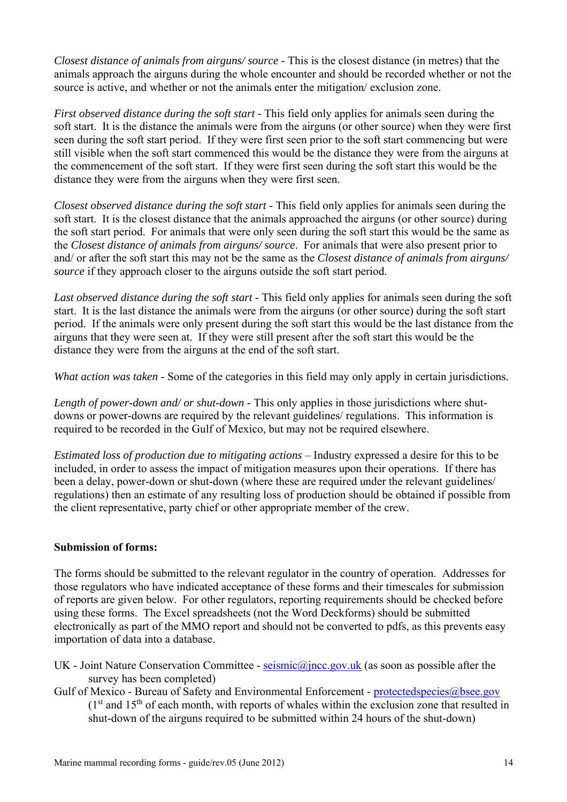*Closest distance of animals from airguns/ source* - This is the closest distance (in metres) that the animals approach the airguns during the whole encounter and should be recorded whether or not the source is active, and whether or not the animals enter the mitigation/ exclusion zone.

*First observed distance during the soft start* - This field only applies for animals seen during the soft start. It is the distance the animals were from the airguns (or other source) when they were first seen during the soft start period. If they were first seen prior to the soft start commencing but were still visible when the soft start commenced this would be the distance they were from the airguns at the commencement of the soft start. If they were first seen during the soft start this would be the distance they were from the airguns when they were first seen.

*Closest observed distance during the soft start* - This field only applies for animals seen during the soft start. It is the closest distance that the animals approached the airguns (or other source) during the soft start period. For animals that were only seen during the soft start this would be the same as the *Closest distance of animals from airguns/ source*. For animals that were also present prior to and/ or after the soft start this may not be the same as the *Closest distance of animals from airguns/ source* if they approach closer to the airguns outside the soft start period.

Last observed distance during the soft start - This field only applies for animals seen during the soft start. It is the last distance the animals were from the airguns (or other source) during the soft start period. If the animals were only present during the soft start this would be the last distance from the airguns that they were seen at. If they were still present after the soft start this would be the distance they were from the airguns at the end of the soft start.

*What action was taken* - Some of the categories in this field may only apply in certain jurisdictions.

*Length of power-down and/ or shut-down* - This only applies in those jurisdictions where shutdowns or power-downs are required by the relevant guidelines/ regulations. This information is required to be recorded in the Gulf of Mexico, but may not be required elsewhere.

*Estimated loss of production due to mitigating actions* – Industry expressed a desire for this to be included, in order to assess the impact of mitigation measures upon their operations. If there has been a delay, power-down or shut-down (where these are required under the relevant guidelines/ regulations) then an estimate of any resulting loss of production should be obtained if possible from the client representative, party chief or other appropriate member of the crew.

#### **Submission of forms:**

The forms should be submitted to the relevant regulator in the country of operation. Addresses for those regulators who have indicated acceptance of these forms and their timescales for submission of reports are given below. For other regulators, reporting requirements should be checked before using these forms. The Excel spreadsheets (not the Word Deckforms) should be submitted electronically as part of the MMO report and should not be converted to pdfs, as this prevents easy importation of data into a database.

- UK Joint Nature Conservation Committee  $seimic@jncc.gov.uk$  (as soon as possible after the survey has been completed)
- Gulf of Mexico Bureau of Safety and Environmental Enforcement protectedspecies@bsee.gov  $(1<sup>st</sup>$  and  $15<sup>th</sup>$  of each month, with reports of whales within the exclusion zone that resulted in shut-down of the airguns required to be submitted within 24 hours of the shut-down)